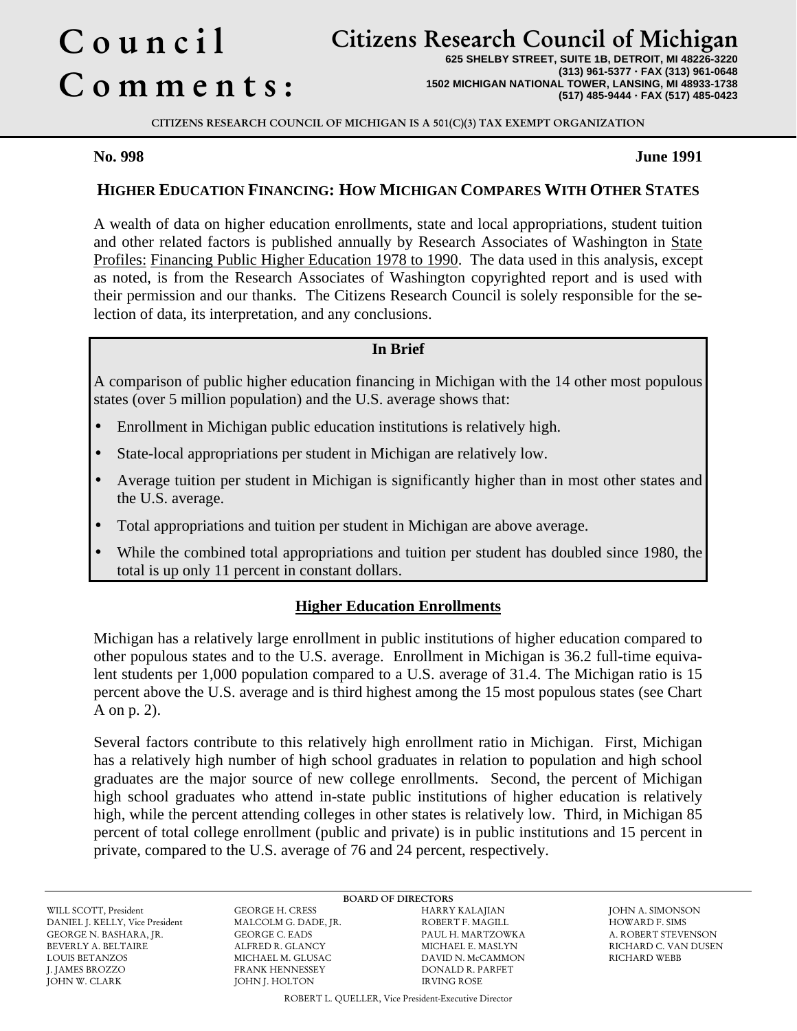# Council Comments :

## Citizens Research Council of Michigan

**625 SHELBY STREET, SUITE 1B, DETROIT, MI 48226-3220 (313) 961-5377** · **FAX (313) 961-0648 1502 MICHIGAN NATIONAL TOWER, LANSING, MI 48933-1738 (517) 485-9444** · **FAX (517) 485-0423**

CITIZENS RESEARCH COUNCIL OF MICHIGAN IS A 501(C)(3) TAX EXEMPT ORGANIZATION

#### **No. 998 June 1991**

### **HIGHER EDUCATION FINANCING: HOW MICHIGAN COMPARES WITH OTHER STATES**

A wealth of data on higher education enrollments, state and local appropriations, student tuition and other related factors is published annually by Research Associates of Washington in State Profiles: Financing Public Higher Education 1978 to 1990. The data used in this analysis, except as noted, is from the Research Associates of Washington copyrighted report and is used with their permission and our thanks. The Citizens Research Council is solely responsible for the selection of data, its interpretation, and any conclusions.

#### **In Brief**

A comparison of public higher education financing in Michigan with the 14 other most populous states (over 5 million population) and the U.S. average shows that:

- Enrollment in Michigan public education institutions is relatively high.
- State-local appropriations per student in Michigan are relatively low.
- Average tuition per student in Michigan is significantly higher than in most other states and the U.S. average.
- Total appropriations and tuition per student in Michigan are above average.
- While the combined total appropriations and tuition per student has doubled since 1980, the total is up only 11 percent in constant dollars.

#### **Higher Education Enrollments**

Michigan has a relatively large enrollment in public institutions of higher education compared to other populous states and to the U.S. average. Enrollment in Michigan is 36.2 full-time equivalent students per 1,000 population compared to a U.S. average of 31.4. The Michigan ratio is 15 percent above the U.S. average and is third highest among the 15 most populous states (see Chart A on p. 2).

Several factors contribute to this relatively high enrollment ratio in Michigan. First, Michigan has a relatively high number of high school graduates in relation to population and high school graduates are the major source of new college enrollments. Second, the percent of Michigan high school graduates who attend in-state public institutions of higher education is relatively high, while the percent attending colleges in other states is relatively low. Third, in Michigan 85 percent of total college enrollment (public and private) is in public institutions and 15 percent in private, compared to the U.S. average of 76 and 24 percent, respectively.

DANIEL J. KELLY, Vice President GEORGE N. BASHARA, JR. GEORGE C. EADS PAUL H. MARTZOWKA A. ROBERT STEVENSON LOUIS BETANZOS MICHAEL M. GLUSAC DAVID N. McCAMMON J. JAMES BROZZO FRANK HENNESSEY DONALD R. PARFET JOHN W. CLARK JOHN J. HOLTON IRVING ROSE

WILL SCOTT, President GEORGE H. CRESS HARRY KALAJIAN JOHN A. SIMONSON FRANK HENNESSEY DONALD R. PARFET

BOARD OF DIRECTORS<br>HARRY KALAJIAN

RICHARD C. VAN DUSEN<br>RICHARD WEBB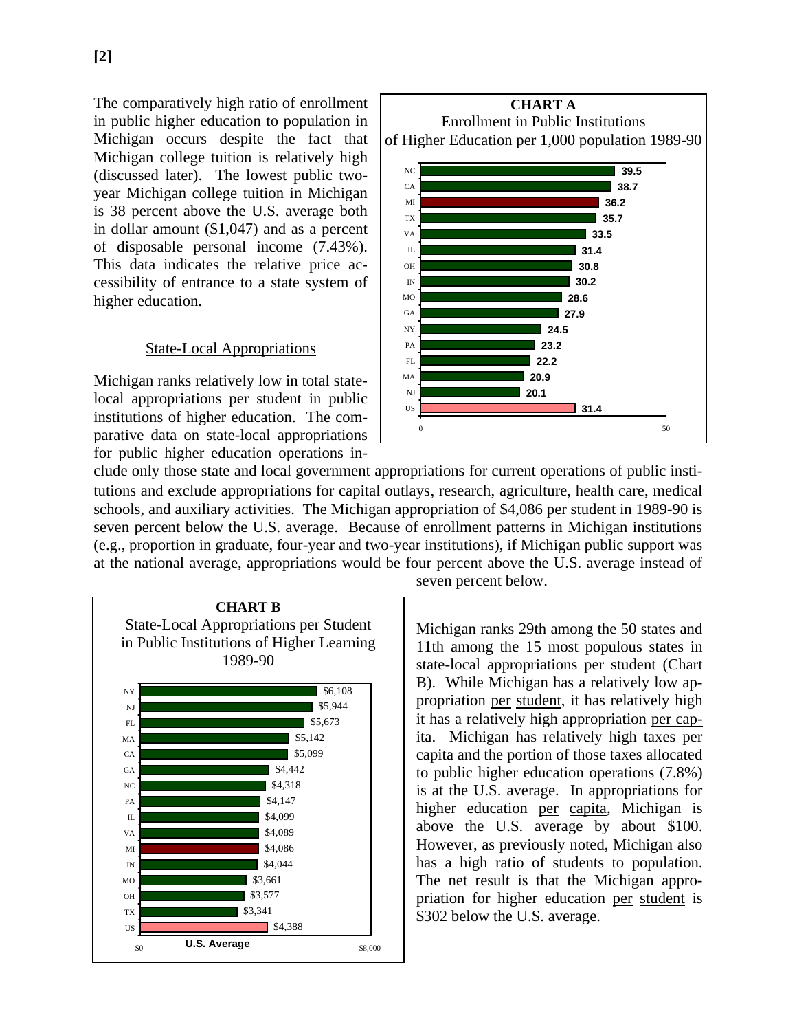The comparatively high ratio of enrollment in public higher education to population in Michigan occurs despite the fact that Michigan college tuition is relatively high (discussed later). The lowest public twoyear Michigan college tuition in Michigan is 38 percent above the U.S. average both in dollar amount (\$1,047) and as a percent of disposable personal income (7.43%). This data indicates the relative price accessibility of entrance to a state system of higher education.

#### State-Local Appropriations

Michigan ranks relatively low in total statelocal appropriations per student in public institutions of higher education. The comparative data on state-local appropriations for public higher education operations in-



clude only those state and local government appropriations for current operations of public institutions and exclude appropriations for capital outlays, research, agriculture, health care, medical schools, and auxiliary activities. The Michigan appropriation of \$4,086 per student in 1989-90 is seven percent below the U.S. average. Because of enrollment patterns in Michigan institutions (e.g., proportion in graduate, four-year and two-year institutions), if Michigan public support was at the national average, appropriations would be four percent above the U.S. average instead of



seven percent below.

Michigan ranks 29th among the 50 states and 11th among the 15 most populous states in state-local appropriations per student (Chart B). While Michigan has a relatively low appropriation per student, it has relatively high it has a relatively high appropriation per capita. Michigan has relatively high taxes per capita and the portion of those taxes allocated to public higher education operations (7.8%) is at the U.S. average. In appropriations for higher education per capita, Michigan is above the U.S. average by about \$100. However, as previously noted, Michigan also has a high ratio of students to population. The net result is that the Michigan appropriation for higher education per student is \$302 below the U.S. average.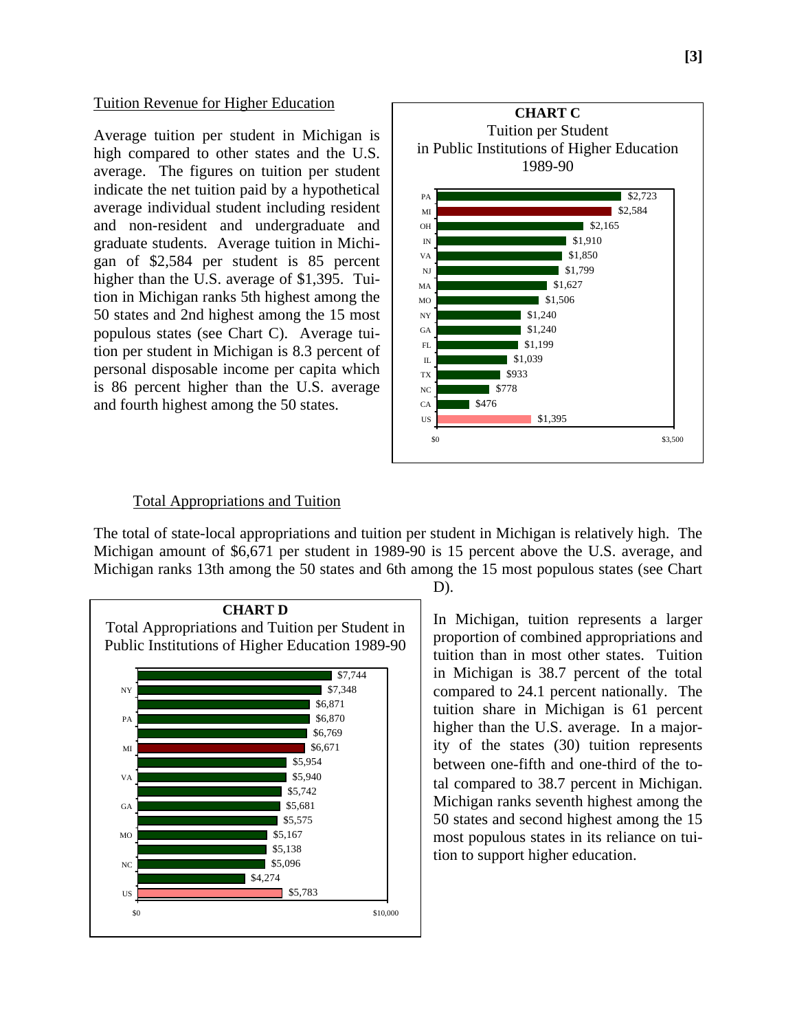#### Tuition Revenue for Higher Education

Average tuition per student in Michigan is high compared to other states and the U.S. average. The figures on tuition per student indicate the net tuition paid by a hypothetical average individual student including resident and non-resident and undergraduate and graduate students. Average tuition in Michigan of \$2,584 per student is 85 percent higher than the U.S. average of \$1,395. Tuition in Michigan ranks 5th highest among the 50 states and 2nd highest among the 15 most populous states (see Chart C). Average tuition per student in Michigan is 8.3 percent of personal disposable income per capita which is 86 percent higher than the U.S. average and fourth highest among the 50 states.



#### Total Appropriations and Tuition

The total of state-local appropriations and tuition per student in Michigan is relatively high. The Michigan amount of \$6,671 per student in 1989-90 is 15 percent above the U.S. average, and Michigan ranks 13th among the 50 states and 6th among the 15 most populous states (see Chart



D).

In Michigan, tuition represents a larger proportion of combined appropriations and tuition than in most other states. Tuition in Michigan is 38.7 percent of the total compared to 24.1 percent nationally. The tuition share in Michigan is 61 percent higher than the U.S. average. In a majority of the states (30) tuition represents between one-fifth and one-third of the total compared to 38.7 percent in Michigan. Michigan ranks seventh highest among the 50 states and second highest among the 15 most populous states in its reliance on tuition to support higher education.